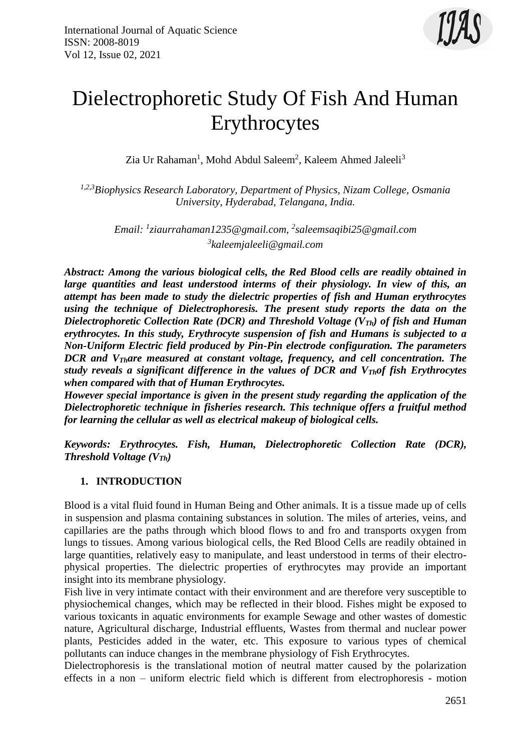

# Dielectrophoretic Study Of Fish And Human Erythrocytes

Zia Ur Rahaman<sup>1</sup>, Mohd Abdul Saleem<sup>2</sup>, Kaleem Ahmed Jaleeli<sup>3</sup>

*1,2,3Biophysics Research Laboratory, Department of Physics, Nizam College, Osmania University, Hyderabad, Telangana, India.*

*Email: <sup>1</sup> [ziaurrahaman1235@gmail.com,](mailto:1ziaurrahaman1235@gmail.com) 2 saleemsaqibi25@gmail.com 3 kaleemjaleeli@gmail.com*

*Abstract: Among the various biological cells, the Red Blood cells are readily obtained in large quantities and least understood interms of their physiology. In view of this, an attempt has been made to study the dielectric properties of fish and Human erythrocytes using the technique of Dielectrophoresis. The present study reports the data on the Dielectrophoretic Collection Rate (DCR) and Threshold Voltage (VTh) of fish and Human erythrocytes. In this study, Erythrocyte suspension of fish and Humans is subjected to a Non-Uniform Electric field produced by Pin-Pin electrode configuration. The parameters DCR and VThare measured at constant voltage, frequency, and cell concentration. The study reveals a significant difference in the values of DCR and VThof fish Erythrocytes when compared with that of Human Erythrocytes.* 

*However special importance is given in the present study regarding the application of the Dielectrophoretic technique in fisheries research. This technique offers a fruitful method for learning the cellular as well as electrical makeup of biological cells.*

*Keywords: Erythrocytes. Fish, Human, Dielectrophoretic Collection Rate (DCR), Threshold Voltage (VTh)*

## **1. INTRODUCTION**

Blood is a vital fluid found in Human Being and Other animals. It is a tissue made up of cells in suspension and plasma containing substances in solution. The miles of arteries, veins, and capillaries are the paths through which blood flows to and fro and transports oxygen from lungs to tissues. Among various biological cells, the Red Blood Cells are readily obtained in large quantities, relatively easy to manipulate, and least understood in terms of their electrophysical properties. The dielectric properties of erythrocytes may provide an important insight into its membrane physiology.

Fish live in very intimate contact with their environment and are therefore very susceptible to physiochemical changes, which may be reflected in their blood. Fishes might be exposed to various toxicants in aquatic environments for example Sewage and other wastes of domestic nature, Agricultural discharge, Industrial effluents, Wastes from thermal and nuclear power plants, Pesticides added in the water, etc. This exposure to various types of chemical pollutants can induce changes in the membrane physiology of Fish Erythrocytes.

Dielectrophoresis is the translational motion of neutral matter caused by the polarization effects in a non – uniform electric field which is different from electrophoresis - motion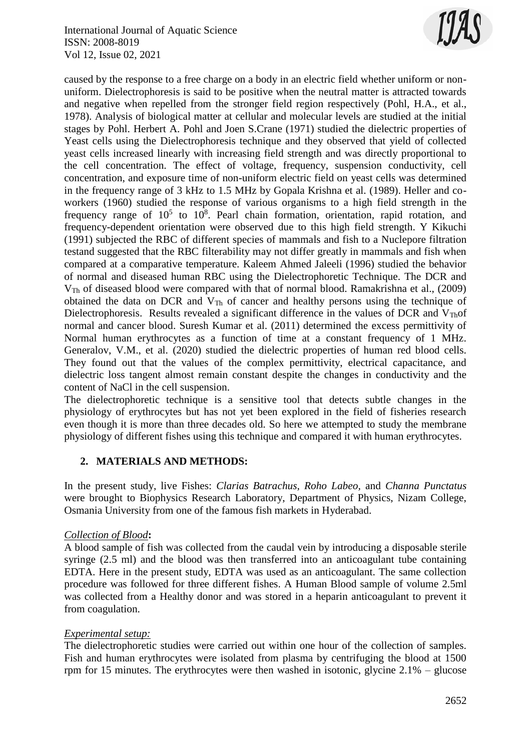

caused by the response to a free charge on a body in an electric field whether uniform or nonuniform. Dielectrophoresis is said to be positive when the neutral matter is attracted towards and negative when repelled from the stronger field region respectively (Pohl, H.A., et al., 1978). Analysis of biological matter at cellular and molecular levels are studied at the initial stages by Pohl. Herbert A. Pohl and Joen S.Crane (1971) studied the dielectric properties of Yeast cells using the Dielectrophoresis technique and they observed that yield of collected yeast cells increased linearly with increasing field strength and was directly proportional to the cell concentration. The effect of voltage, frequency, suspension conductivity, cell concentration, and exposure time of non-uniform electric field on yeast cells was determined in the frequency range of 3 kHz to 1.5 MHz by Gopala Krishna et al. (1989). Heller and coworkers (1960) studied the response of various organisms to a high field strength in the frequency range of  $10^5$  to  $10^8$ . Pearl chain formation, orientation, rapid rotation, and frequency-dependent orientation were observed due to this high field strength. Y Kikuchi (1991) subjected the RBC of different species of mammals and fish to a Nuclepore filtration testand suggested that the RBC filterability may not differ greatly in mammals and fish when compared at a comparative temperature. Kaleem Ahmed Jaleeli (1996) studied the behavior of normal and diseased human RBC using the Dielectrophoretic Technique. The DCR and VTh of diseased blood were compared with that of normal blood. Ramakrishna et al., (2009) obtained the data on DCR and VTh of cancer and healthy persons using the technique of Dielectrophoresis. Results revealed a significant difference in the values of DCR and  $V_{Th}$ of normal and cancer blood. Suresh Kumar et al. (2011) determined the excess permittivity of Normal human erythrocytes as a function of time at a constant frequency of 1 MHz. Generalov, V.M., et al. (2020) studied the dielectric properties of human red blood cells. They found out that the values of the complex permittivity, electrical capacitance, and dielectric loss tangent almost remain constant despite the changes in conductivity and the content of NaCl in the cell suspension.

The dielectrophoretic technique is a sensitive tool that detects subtle changes in the physiology of erythrocytes but has not yet been explored in the field of fisheries research even though it is more than three decades old. So here we attempted to study the membrane physiology of different fishes using this technique and compared it with human erythrocytes.

## **2. MATERIALS AND METHODS:**

In the present study, live Fishes: *Clarias Batrachus, Roho Labeo,* and *Channa Punctatus* were brought to Biophysics Research Laboratory, Department of Physics, Nizam College, Osmania University from one of the famous fish markets in Hyderabad.

# *Collection of Blood***:**

A blood sample of fish was collected from the caudal vein by introducing a disposable sterile syringe (2.5 ml) and the blood was then transferred into an anticoagulant tube containing EDTA. Here in the present study, EDTA was used as an anticoagulant. The same collection procedure was followed for three different fishes. A Human Blood sample of volume 2.5ml was collected from a Healthy donor and was stored in a heparin anticoagulant to prevent it from coagulation.

# *Experimental setup:*

The dielectrophoretic studies were carried out within one hour of the collection of samples. Fish and human erythrocytes were isolated from plasma by centrifuging the blood at 1500 rpm for 15 minutes. The erythrocytes were then washed in isotonic, glycine  $2.1\%$  – glucose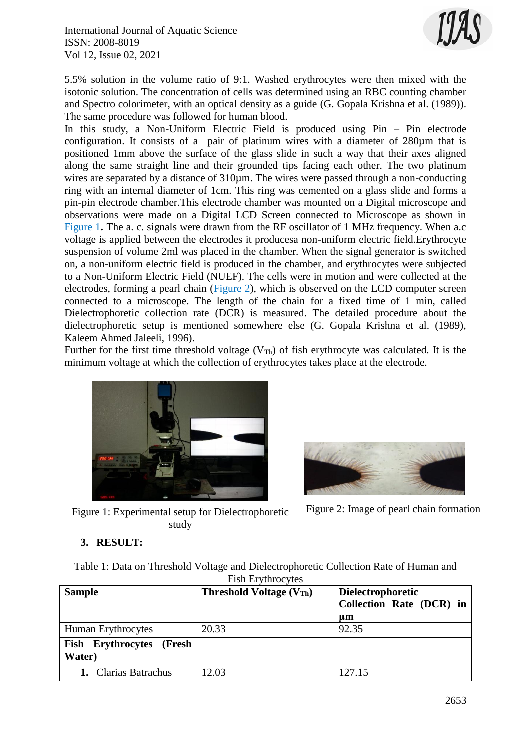International Journal of Aquatic Science ISSN: 2008-8019 Vol 12, Issue 02, 2021



5.5% solution in the volume ratio of 9:1. Washed erythrocytes were then mixed with the isotonic solution. The concentration of cells was determined using an RBC counting chamber and Spectro colorimeter, with an optical density as a guide (G. Gopala Krishna et al. (1989)). The same procedure was followed for human blood.

In this study, a Non-Uniform Electric Field is produced using Pin – Pin electrode configuration. It consists of a pair of platinum wires with a diameter of 280  $\mu$ m that is positioned 1mm above the surface of the glass slide in such a way that their axes aligned along the same straight line and their grounded tips facing each other. The two platinum wires are separated by a distance of  $310 \mu m$ . The wires were passed through a non-conducting ring with an internal diameter of 1cm. This ring was cemented on a glass slide and forms a pin-pin electrode chamber.This electrode chamber was mounted on a Digital microscope and observations were made on a Digital LCD Screen connected to Microscope as shown in Figure 1. The a. c. signals were drawn from the RF oscillator of 1 MHz frequency. When a.c. voltage is applied between the electrodes it producesa non-uniform electric field.Erythrocyte suspension of volume 2ml was placed in the chamber. When the signal generator is switched on, a non-uniform electric field is produced in the chamber, and erythrocytes were subjected to a Non-Uniform Electric Field (NUEF). The cells were in motion and were collected at the electrodes, forming a pearl chain (Figure 2), which is observed on the LCD computer screen connected to a microscope. The length of the chain for a fixed time of 1 min, called Dielectrophoretic collection rate (DCR) is measured. The detailed procedure about the dielectrophoretic setup is mentioned somewhere else (G. Gopala Krishna et al. (1989), Kaleem Ahmed Jaleeli, 1996).

Further for the first time threshold voltage  $(V_{Th})$  of fish erythrocyte was calculated. It is the minimum voltage at which the collection of erythrocytes takes place at the electrode.





Figure 2: Image of pearl chain formation

Figure 1: Experimental setup for Dielectrophoretic study

# **3. RESULT:**

Table 1: Data on Threshold Voltage and Dielectrophoretic Collection Rate of Human and Fish Erythrocytes

| <b>Sample</b>                      | <b>Threshold Voltage (VTh)</b> | <b>Dielectrophoretic</b><br>Collection Rate (DCR) in<br>um |
|------------------------------------|--------------------------------|------------------------------------------------------------|
| Human Erythrocytes                 | 20.33                          | 92.35                                                      |
| Fish Erythrocytes (Fresh<br>Water) |                                |                                                            |
| 1. Clarias Batrachus               | 12.03                          | 127.15                                                     |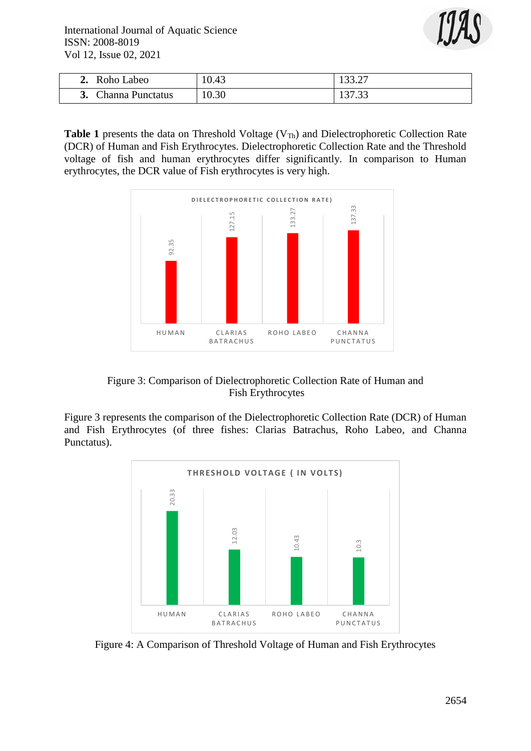International Journal of Aquatic Science ISSN: 2008-8019 Vol 12, Issue 02, 2021



| Roho Labeo<br>∸∙ | 10.43 | 133.27<br>199.ZI     |
|------------------|-------|----------------------|
| Channa Punctatus | 10.30 | 127.22<br>1 J I .J J |

Table 1 presents the data on Threshold Voltage (V<sub>Th</sub>) and Dielectrophoretic Collection Rate (DCR) of Human and Fish Erythrocytes. Dielectrophoretic Collection Rate and the Threshold voltage of fish and human erythrocytes differ significantly. In comparison to Human erythrocytes, the DCR value of Fish erythrocytes is very high.



Figure 3: Comparison of Dielectrophoretic Collection Rate of Human and Fish Erythrocytes

Figure 3 represents the comparison of the Dielectrophoretic Collection Rate (DCR) of Human and Fish Erythrocytes (of three fishes: Clarias Batrachus, Roho Labeo, and Channa Punctatus).

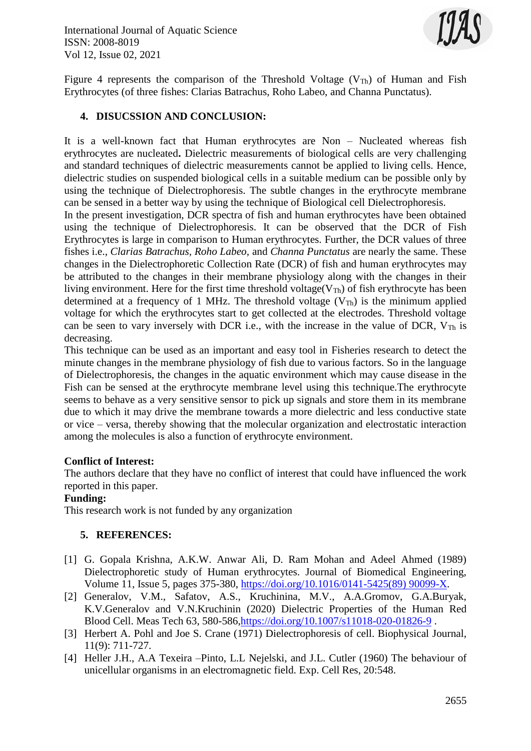

Figure 4 represents the comparison of the Threshold Voltage ( $V_{Th}$ ) of Human and Fish Erythrocytes (of three fishes: Clarias Batrachus, Roho Labeo, and Channa Punctatus).

## **4. DISUCSSION AND CONCLUSION:**

It is a well-known fact that Human erythrocytes are Non – Nucleated whereas fish erythrocytes are nucleated**.** Dielectric measurements of biological cells are very challenging and standard techniques of dielectric measurements cannot be applied to living cells. Hence, dielectric studies on suspended biological cells in a suitable medium can be possible only by using the technique of Dielectrophoresis. The subtle changes in the erythrocyte membrane can be sensed in a better way by using the technique of Biological cell Dielectrophoresis.

In the present investigation, DCR spectra of fish and human erythrocytes have been obtained using the technique of Dielectrophoresis. It can be observed that the DCR of Fish Erythrocytes is large in comparison to Human erythrocytes. Further, the DCR values of three fishes i.e., *Clarias Batrachus, Roho Labeo,* and *Channa Punctatus* are nearly the same. These changes in the Dielectrophoretic Collection Rate (DCR) of fish and human erythrocytes may be attributed to the changes in their membrane physiology along with the changes in their living environment. Here for the first time threshold voltage( $V_{Th}$ ) of fish erythrocyte has been determined at a frequency of 1 MHz. The threshold voltage  $(V_{Th})$  is the minimum applied voltage for which the erythrocytes start to get collected at the electrodes. Threshold voltage can be seen to vary inversely with DCR i.e., with the increase in the value of DCR,  $V_{Th}$  is decreasing.

This technique can be used as an important and easy tool in Fisheries research to detect the minute changes in the membrane physiology of fish due to various factors. So in the language of Dielectrophoresis, the changes in the aquatic environment which may cause disease in the Fish can be sensed at the erythrocyte membrane level using this technique.The erythrocyte seems to behave as a very sensitive sensor to pick up signals and store them in its membrane due to which it may drive the membrane towards a more dielectric and less conductive state or vice – versa, thereby showing that the molecular organization and electrostatic interaction among the molecules is also a function of erythrocyte environment.

#### **Conflict of Interest:**

The authors declare that they have no conflict of interest that could have influenced the work reported in this paper.

#### **Funding:**

This research work is not funded by any organization

## **5. REFERENCES:**

- [1] G. Gopala Krishna, A.K.W. Anwar Ali, D. Ram Mohan and Adeel Ahmed (1989) Dielectrophoretic study of Human erythrocytes. Journal of Biomedical Engineering, Volume 11, Issue 5, pages 375-380, [https://doi.org/10.1016/0141-5425\(89\) 90099-X.](https://doi.org/10.1016/0141-5425(89)%2090099-X)
- [2] Generalov, V.M., Safatov, A.S., Kruchinina, M.V., A.A.Gromov, G.A.Buryak, K.V.Generalov and V.N.Kruchinin (2020) Dielectric Properties of the Human Red Blood Cell. Meas Tech 63, 580-586[,https://doi.org/10.1007/s11018-020-01826-9](https://doi.org/10.1007/s11018-020-01826-9) .
- [3] Herbert A. Pohl and Joe S. Crane (1971) Dielectrophoresis of cell. Biophysical Journal, 11(9): 711-727.
- [4] Heller J.H., A.A Texeira –Pinto, L.L Nejelski, and J.L. Cutler (1960) The behaviour of unicellular organisms in an electromagnetic field. Exp. Cell Res, 20:548.